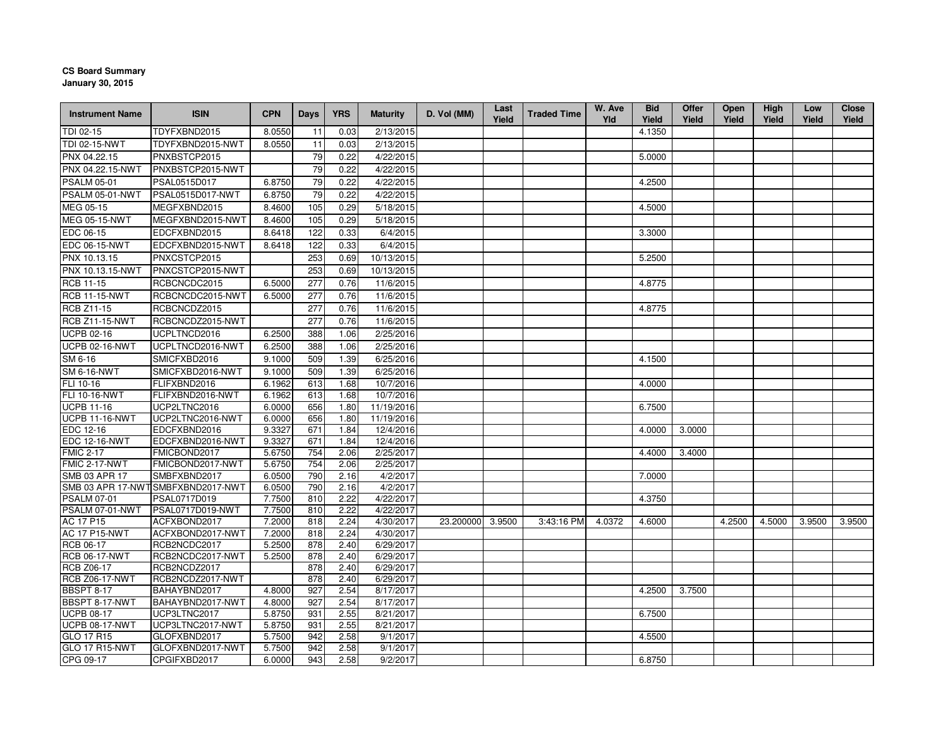## **CS Board Summary**

**January 30, 2015**

| <b>Instrument Name</b> | <b>ISIN</b>                                       | <b>CPN</b>       | <b>Days</b> | <b>YRS</b>   | <b>Maturity</b>       | D. Vol (MM)      | Last<br>Yield | <b>Traded Time</b> | W. Ave<br>Yld | <b>Bid</b><br>Yield | Offer<br>Yield | <b>Open</b><br>Yield | High<br>Yield | Low<br>Yield | <b>Close</b><br>Yield |
|------------------------|---------------------------------------------------|------------------|-------------|--------------|-----------------------|------------------|---------------|--------------------|---------------|---------------------|----------------|----------------------|---------------|--------------|-----------------------|
| TDI 02-15              | TDYFXBND2015                                      | 8.0550           | 11          | 0.03         | 2/13/2015             |                  |               |                    |               | 4.1350              |                |                      |               |              |                       |
| TDI 02-15-NWT          | TDYFXBND2015-NWT                                  | 8.0550           | 11          | 0.03         | 2/13/2015             |                  |               |                    |               |                     |                |                      |               |              |                       |
| PNX 04.22.15           | PNXBSTCP2015                                      |                  | 79          | 0.22         | 4/22/2015             |                  |               |                    |               | 5.0000              |                |                      |               |              |                       |
| PNX 04.22.15-NWT       | PNXBSTCP2015-NWT                                  |                  | 79          | 0.22         | 4/22/2015             |                  |               |                    |               |                     |                |                      |               |              |                       |
| <b>PSALM 05-01</b>     | PSAL0515D017                                      | 6.8750           | 79          | 0.22         | 4/22/2015             |                  |               |                    |               | 4.2500              |                |                      |               |              |                       |
| PSALM 05-01-NWT        | PSAL0515D017-NWT                                  | 6.8750           | 79          | 0.22         | 4/22/2015             |                  |               |                    |               |                     |                |                      |               |              |                       |
| MEG 05-15              | MEGFXBND2015                                      | 8.4600           | 105         | 0.29         | 5/18/2015             |                  |               |                    |               | 4.5000              |                |                      |               |              |                       |
| <b>MEG 05-15-NWT</b>   | MEGFXBND2015-NWT                                  | 8.4600           | 105         | 0.29         | 5/18/2015             |                  |               |                    |               |                     |                |                      |               |              |                       |
| EDC 06-15              | EDCFXBND2015                                      | 8.6418           | 122         | 0.33         | 6/4/2015              |                  |               |                    |               | 3.3000              |                |                      |               |              |                       |
| <b>EDC 06-15-NWT</b>   | EDCFXBND2015-NWT                                  | 8.6418           | 122         | 0.33         | 6/4/2015              |                  |               |                    |               |                     |                |                      |               |              |                       |
| PNX 10.13.15           | PNXCSTCP2015                                      |                  | 253         | 0.69         | 10/13/2015            |                  |               |                    |               | 5.2500              |                |                      |               |              |                       |
| PNX 10.13.15-NWT       | PNXCSTCP2015-NWT                                  |                  | 253         | 0.69         | 10/13/2015            |                  |               |                    |               |                     |                |                      |               |              |                       |
| <b>RCB 11-15</b>       | RCBCNCDC2015                                      | 6.5000           | 277         | 0.76         | 11/6/2015             |                  |               |                    |               | 4.8775              |                |                      |               |              |                       |
| RCB 11-15-NWT          | RCBCNCDC2015-NWT                                  | 6.5000           | 277         | 0.76         | 11/6/2015             |                  |               |                    |               |                     |                |                      |               |              |                       |
| <b>RCB Z11-15</b>      | RCBCNCDZ2015                                      |                  | 277         | 0.76         | 11/6/2015             |                  |               |                    |               | 4.8775              |                |                      |               |              |                       |
| <b>RCB Z11-15-NWT</b>  | RCBCNCDZ2015-NWT                                  |                  | 277         | 0.76         | 11/6/2015             |                  |               |                    |               |                     |                |                      |               |              |                       |
| <b>UCPB 02-16</b>      | UCPLTNCD2016                                      | 6.2500           | 388         | 1.06         | 2/25/2016             |                  |               |                    |               |                     |                |                      |               |              |                       |
| UCPB 02-16-NWT         | UCPLTNCD2016-NWT                                  | 6.2500           | 388         | 1.06         | 2/25/2016             |                  |               |                    |               |                     |                |                      |               |              |                       |
| SM 6-16                | SMICFXBD2016                                      | 9.1000           | 509         | 1.39         | 6/25/2016             |                  |               |                    |               | 4.1500              |                |                      |               |              |                       |
| <b>SM 6-16-NWT</b>     | SMICFXBD2016-NWT                                  | 9.1000           | 509         | 1.39         | 6/25/2016             |                  |               |                    |               |                     |                |                      |               |              |                       |
| FLI 10-16              | FLIFXBND2016                                      | 6.1962           | 613         | 1.68         | 10/7/2016             |                  |               |                    |               | 4.0000              |                |                      |               |              |                       |
| FLI 10-16-NWT          | FLIFXBND2016-NWT                                  | 6.1962           | 613         | 1.68         | 10/7/2016             |                  |               |                    |               |                     |                |                      |               |              |                       |
| <b>UCPB 11-16</b>      | UCP2LTNC2016                                      | 6.0000           | 656         | 1.80         | 11/19/2016            |                  |               |                    |               | 6.7500              |                |                      |               |              |                       |
| <b>UCPB 11-16-NWT</b>  | UCP2LTNC2016-NWT                                  | 6.0000           | 656         | 1.80         | 11/19/2016            |                  |               |                    |               |                     |                |                      |               |              |                       |
| EDC 12-16              | EDCFXBND2016                                      | 9.3327           | 671         | 1.84         | 12/4/2016             |                  |               |                    |               | 4.0000              | 3.0000         |                      |               |              |                       |
| <b>EDC 12-16-NWT</b>   | EDCFXBND2016-NWT                                  | 9.3327           | 671         | 1.84         | 12/4/2016             |                  |               |                    |               |                     |                |                      |               |              |                       |
| <b>FMIC 2-17</b>       | FMICBOND2017                                      | 5.6750           | 754         | 2.06         | 2/25/2017             |                  |               |                    |               | 4.4000              | 3.4000         |                      |               |              |                       |
| FMIC 2-17-NWT          | FMICBOND2017-NWT                                  | 5.6750           | 754         | 2.06         | 2/25/2017             |                  |               |                    |               |                     |                |                      |               |              |                       |
| SMB 03 APR 17          | SMBFXBND2017                                      | 6.0500           | 790         | 2.16         | 4/2/2017              |                  |               |                    |               | 7.0000              |                |                      |               |              |                       |
| <b>PSALM 07-01</b>     | SMB 03 APR 17-NWTSMBFXBND2017-NWT<br>PSAL0717D019 | 6.0500<br>7.7500 | 790<br>810  | 2.16<br>2.22 | 4/2/2017<br>4/22/2017 |                  |               |                    |               |                     |                |                      |               |              |                       |
| PSALM 07-01-NWT        | PSAL0717D019-NWT                                  | 7.7500           | 810         | 2.22         | 4/22/2017             |                  |               |                    |               | 4.3750              |                |                      |               |              |                       |
| AC 17 P15              | ACFXBOND2017                                      | 7.2000           | 818         | 2.24         | 4/30/2017             | 23.200000 3.9500 |               | 3:43:16 PM         | 4.0372        | 4.6000              |                | 4.2500               | 4.5000        | 3.9500       | 3.9500                |
| <b>AC 17 P15-NWT</b>   | ACFXBOND2017-NWT                                  | 7.2000           | 818         | 2.24         | 4/30/2017             |                  |               |                    |               |                     |                |                      |               |              |                       |
| RCB 06-17              | RCB2NCDC2017                                      | 5.2500           | 878         | 2.40         | 6/29/2017             |                  |               |                    |               |                     |                |                      |               |              |                       |
| <b>RCB 06-17-NWT</b>   | RCB2NCDC2017-NWT                                  | 5.2500           | 878         | 2.40         | 6/29/2017             |                  |               |                    |               |                     |                |                      |               |              |                       |
| <b>RCB Z06-17</b>      | RCB2NCDZ2017                                      |                  | 878         | 2.40         | 6/29/2017             |                  |               |                    |               |                     |                |                      |               |              |                       |
| <b>RCB Z06-17-NWT</b>  | RCB2NCDZ2017-NWT                                  |                  | 878         | 2.40         | 6/29/2017             |                  |               |                    |               |                     |                |                      |               |              |                       |
| <b>BBSPT 8-17</b>      | BAHAYBND2017                                      | 4.8000           | 927         | 2.54         | 8/17/2017             |                  |               |                    |               | 4.2500              | 3.7500         |                      |               |              |                       |
| <b>BBSPT 8-17-NWT</b>  | BAHAYBND2017-NWT                                  | 4.8000           | 927         | 2.54         | 8/17/2017             |                  |               |                    |               |                     |                |                      |               |              |                       |
| <b>UCPB 08-17</b>      | UCP3LTNC2017                                      | 5.8750           | 931         | 2.55         | 8/21/2017             |                  |               |                    |               | 6.7500              |                |                      |               |              |                       |
| UCPB 08-17-NWT         | UCP3LTNC2017-NWT                                  | 5.8750           | 931         | 2.55         | 8/21/2017             |                  |               |                    |               |                     |                |                      |               |              |                       |
| GLO 17 R15             | GLOFXBND2017                                      | 5.7500           | 942         | 2.58         | 9/1/2017              |                  |               |                    |               | 4.5500              |                |                      |               |              |                       |
| <b>GLO 17 R15-NWT</b>  | GLOFXBND2017-NWT                                  | 5.7500           | 942         | 2.58         | 9/1/2017              |                  |               |                    |               |                     |                |                      |               |              |                       |
| CPG 09-17              | CPGIFXBD2017                                      | 6.0000           | 943         | 2.58         | 9/2/2017              |                  |               |                    |               | 6.8750              |                |                      |               |              |                       |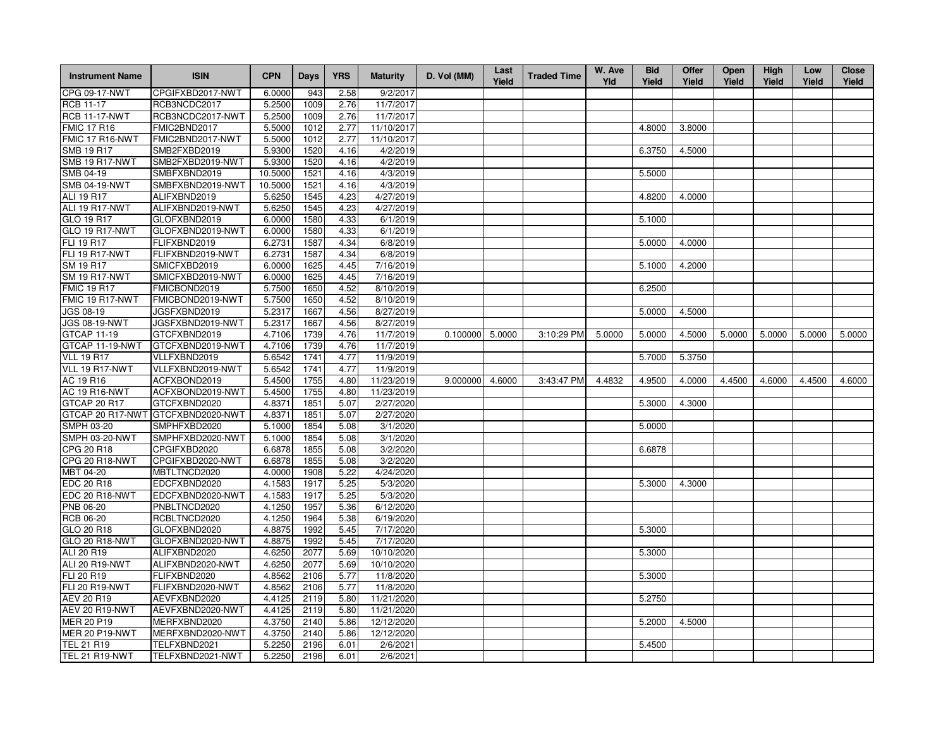| <b>Instrument Name</b> | <b>ISIN</b>                       | <b>CPN</b> | Days | <b>YRS</b> | <b>Maturity</b> | D. Vol (MM)       | Last<br>Yield | <b>Traded Time</b> | W. Ave<br>Yld | <b>Bid</b><br>Yield | Offer<br>Yield | Open<br>Yield | High<br>Yield | Low<br>Yield | <b>Close</b><br>Yield |
|------------------------|-----------------------------------|------------|------|------------|-----------------|-------------------|---------------|--------------------|---------------|---------------------|----------------|---------------|---------------|--------------|-----------------------|
| CPG 09-17-NWT          | CPGIFXBD2017-NWT                  | 6.0000     | 943  | 2.58       | 9/2/2017        |                   |               |                    |               |                     |                |               |               |              |                       |
| <b>RCB 11-17</b>       | RCB3NCDC2017                      | 5.2500     | 1009 | 2.76       | 11/7/2017       |                   |               |                    |               |                     |                |               |               |              |                       |
| <b>RCB 11-17-NWT</b>   | RCB3NCDC2017-NWT                  | 5.2500     | 1009 | 2.76       | 11/7/2017       |                   |               |                    |               |                     |                |               |               |              |                       |
| <b>FMIC 17 R16</b>     | FMIC2BND2017                      | 5.5000     | 1012 | 2.77       | 11/10/2017      |                   |               |                    |               | 4.8000              | 3.8000         |               |               |              |                       |
| FMIC 17 R16-NWT        | FMIC2BND2017-NWT                  | 5.5000     | 1012 | 2.77       | 11/10/2017      |                   |               |                    |               |                     |                |               |               |              |                       |
| <b>SMB 19 R17</b>      | SMB2FXBD2019                      | 5.9300     | 1520 | 4.16       | 4/2/2019        |                   |               |                    |               | 6.3750              | 4.5000         |               |               |              |                       |
| <b>SMB 19 R17-NWT</b>  | SMB2FXBD2019-NWT                  | 5.9300     | 1520 | 4.16       | 4/2/2019        |                   |               |                    |               |                     |                |               |               |              |                       |
| SMB 04-19              | SMBFXBND2019                      | 10.5000    | 1521 | 4.16       | 4/3/2019        |                   |               |                    |               | 5.5000              |                |               |               |              |                       |
| <b>SMB 04-19-NWT</b>   | SMBFXBND2019-NWT                  | 10.5000    | 1521 | 4.16       | 4/3/2019        |                   |               |                    |               |                     |                |               |               |              |                       |
| <b>ALI 19 R17</b>      | ALIFXBND2019                      | 5.6250     | 1545 | 4.23       | 4/27/2019       |                   |               |                    |               | 4.8200              | 4.0000         |               |               |              |                       |
| ALI 19 R17-NWT         | ALIFXBND2019-NWT                  | 5.6250     | 1545 | 4.23       | 4/27/2019       |                   |               |                    |               |                     |                |               |               |              |                       |
| GLO 19 R17             | GLOFXBND2019                      | 6.0000     | 1580 | 4.33       | 6/1/2019        |                   |               |                    |               | 5.1000              |                |               |               |              |                       |
| <b>GLO 19 R17-NWT</b>  | GLOFXBND2019-NWT                  | 6.0000     | 1580 | 4.33       | 6/1/2019        |                   |               |                    |               |                     |                |               |               |              |                       |
| <b>FLI 19 R17</b>      | FLIFXBND2019                      | 6.2731     | 1587 | 4.34       | 6/8/2019        |                   |               |                    |               | 5.0000              | 4.0000         |               |               |              |                       |
| FLI 19 R17-NWT         | FLIFXBND2019-NWT                  | 6.2731     | 1587 | 4.34       | 6/8/2019        |                   |               |                    |               |                     |                |               |               |              |                       |
| SM 19 R17              | SMICFXBD2019                      | 6.0000     | 1625 | 4.45       | 7/16/2019       |                   |               |                    |               | 5.1000              | 4.2000         |               |               |              |                       |
| <b>SM 19 R17-NWT</b>   | SMICFXBD2019-NWT                  | 6.0000     | 1625 | 4.45       | 7/16/2019       |                   |               |                    |               |                     |                |               |               |              |                       |
| <b>FMIC 19 R17</b>     | FMICBOND2019                      | 5.7500     | 1650 | 4.52       | 8/10/2019       |                   |               |                    |               | 6.2500              |                |               |               |              |                       |
| FMIC 19 R17-NWT        | FMICBOND2019-NWT                  | 5.7500     | 1650 | 4.52       | 8/10/2019       |                   |               |                    |               |                     |                |               |               |              |                       |
| <b>JGS 08-19</b>       | JGSFXBND2019                      | 5.2317     | 1667 | 4.56       | 8/27/2019       |                   |               |                    |               | 5.0000              | 4.5000         |               |               |              |                       |
| <b>JGS 08-19-NWT</b>   | JGSFXBND2019-NWT                  | 5.2317     | 1667 | 4.56       | 8/27/2019       |                   |               |                    |               |                     |                |               |               |              |                       |
| <b>GTCAP 11-19</b>     | GTCFXBND2019                      | 4.7106     | 1739 | 4.76       | 11/7/2019       | $0.100000$ 5.0000 |               | 3:10:29 PM         | 5.0000        | 5.0000              | 4.5000         | 5.0000        | 5.0000        | 5.0000       | 5.0000                |
| GTCAP 11-19-NWT        | GTCFXBND2019-NWT                  | 4.7106     | 1739 | 4.76       | 11/7/2019       |                   |               |                    |               |                     |                |               |               |              |                       |
| <b>VLL 19 R17</b>      | VLLFXBND2019                      | 5.6542     | 1741 | 4.77       | 11/9/2019       |                   |               |                    |               | 5.7000              | 5.3750         |               |               |              |                       |
| VLL 19 R17-NWT         | VLLFXBND2019-NWT                  | 5.6542     | 1741 | 4.77       | 11/9/2019       |                   |               |                    |               |                     |                |               |               |              |                       |
| AC 19 R16              | ACFXBOND2019                      | 5.4500     | 1755 | 4.80       | 11/23/2019      | 9.000000          | 4.6000        | 3:43:47 PM         | 4.4832        | 4.9500              | 4.0000         | 4.4500        | 4.6000        | 4.4500       | 4.6000                |
| <b>AC 19 R16-NWT</b>   | ACFXBOND2019-NWT                  | 5.4500     | 1755 | 4.80       | 11/23/2019      |                   |               |                    |               |                     |                |               |               |              |                       |
| GTCAP 20 R17           | GTCFXBND2020                      | 4.8371     | 1851 | 5.07       | 2/27/2020       |                   |               |                    |               | 5.3000              | 4.3000         |               |               |              |                       |
|                        | GTCAP 20 R17-NWT GTCFXBND2020-NWT | 4.8371     | 1851 | 5.07       | 2/27/2020       |                   |               |                    |               |                     |                |               |               |              |                       |
| SMPH 03-20             | SMPHFXBD2020                      | 5.1000     | 1854 | 5.08       | 3/1/2020        |                   |               |                    |               | 5.0000              |                |               |               |              |                       |
| <b>SMPH 03-20-NWT</b>  | SMPHFXBD2020-NWT                  | 5.1000     | 1854 | 5.08       | 3/1/2020        |                   |               |                    |               |                     |                |               |               |              |                       |
| CPG 20 R18             | CPGIFXBD2020                      | 6.6878     | 1855 | 5.08       | 3/2/2020        |                   |               |                    |               | 6.6878              |                |               |               |              |                       |
| CPG 20 R18-NWT         | CPGIFXBD2020-NWT                  | 6.6878     | 1855 | 5.08       | 3/2/2020        |                   |               |                    |               |                     |                |               |               |              |                       |
| MBT 04-20              | MBTLTNCD2020                      | 4.0000     | 1908 | 5.22       | 4/24/2020       |                   |               |                    |               |                     |                |               |               |              |                       |
| EDC 20 R18             | EDCFXBND2020                      | 4.1583     | 1917 | 5.25       | 5/3/2020        |                   |               |                    |               | 5.3000              | 4.3000         |               |               |              |                       |
| EDC 20 R18-NWT         | EDCFXBND2020-NWT                  | 4.1583     | 1917 | 5.25       | 5/3/2020        |                   |               |                    |               |                     |                |               |               |              |                       |
| PNB 06-20              | PNBLTNCD2020                      | 4.1250     | 1957 | 5.36       | 6/12/2020       |                   |               |                    |               |                     |                |               |               |              |                       |
| <b>RCB 06-20</b>       | RCBLTNCD2020                      | 4.1250     | 1964 | 5.38       | 6/19/2020       |                   |               |                    |               |                     |                |               |               |              |                       |
| GLO 20 R18             | GLOFXBND2020                      | 4.8875     | 1992 | 5.45       | 7/17/2020       |                   |               |                    |               | 5.3000              |                |               |               |              |                       |
| <b>GLO 20 R18-NWT</b>  | GLOFXBND2020-NWT                  | 4.8875     | 1992 | 5.45       | 7/17/2020       |                   |               |                    |               |                     |                |               |               |              |                       |
| ALI 20 R19             | ALIFXBND2020                      | 4.6250     | 2077 | 5.69       | 10/10/2020      |                   |               |                    |               | 5.3000              |                |               |               |              |                       |
| ALI 20 R19-NWT         | ALIFXBND2020-NWT                  | 4.6250     | 2077 | 5.69       | 10/10/2020      |                   |               |                    |               |                     |                |               |               |              |                       |
| <b>FLI 20 R19</b>      | FLIFXBND2020                      | 4.8562     | 2106 | 5.77       | 11/8/2020       |                   |               |                    |               | 5.3000              |                |               |               |              |                       |
| FLI 20 R19-NWT         | FLIFXBND2020-NWT                  | 4.8562     | 2106 | 5.77       | 11/8/2020       |                   |               |                    |               |                     |                |               |               |              |                       |
| AEV 20 R19             | AEVFXBND2020                      | 4.4125     | 2119 | 5.80       | 11/21/2020      |                   |               |                    |               | 5.2750              |                |               |               |              |                       |
| AEV 20 R19-NWT         | AEVFXBND2020-NWT                  | 4.4125     | 2119 | 5.80       | 11/21/2020      |                   |               |                    |               |                     |                |               |               |              |                       |
| MER 20 P19             | MERFXBND2020                      | 4.3750     | 2140 | 5.86       | 12/12/2020      |                   |               |                    |               | 5.2000              | 4.5000         |               |               |              |                       |
| <b>MER 20 P19-NWT</b>  | MERFXBND2020-NWT                  | 4.3750     | 2140 | 5.86       | 12/12/2020      |                   |               |                    |               |                     |                |               |               |              |                       |
| <b>TEL 21 R19</b>      | TELFXBND2021                      | 5.2250     | 2196 | 6.01       | 2/6/2021        |                   |               |                    |               | 5.4500              |                |               |               |              |                       |
| <b>TEL 21 R19-NWT</b>  | TELFXBND2021-NWT                  | 5.2250     | 2196 | 6.01       | 2/6/2021        |                   |               |                    |               |                     |                |               |               |              |                       |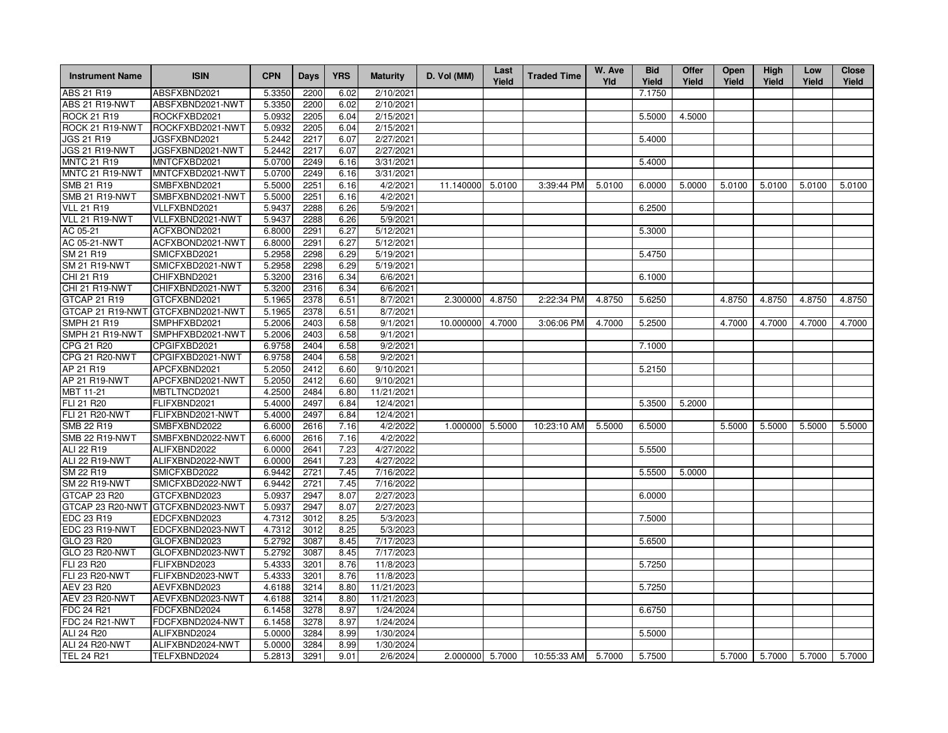| <b>Instrument Name</b> | <b>ISIN</b>      | <b>CPN</b> | Days | <b>YRS</b> | <b>Maturity</b> | D. Vol (MM)     | Last<br>Yield | <b>Traded Time</b> | W. Ave<br>Yld | <b>Bid</b><br>Yield | Offer<br>Yield | <b>Open</b><br>Yield | High<br>Yield | Low<br>Yield | <b>Close</b><br>Yield |
|------------------------|------------------|------------|------|------------|-----------------|-----------------|---------------|--------------------|---------------|---------------------|----------------|----------------------|---------------|--------------|-----------------------|
| ABS 21 R19             | ABSFXBND2021     | 5.3350     | 2200 | 6.02       | 2/10/2021       |                 |               |                    |               | 7.1750              |                |                      |               |              |                       |
| ABS 21 R19-NWT         | ABSFXBND2021-NWT | 5.3350     | 2200 | 6.02       | 2/10/2021       |                 |               |                    |               |                     |                |                      |               |              |                       |
| <b>ROCK 21 R19</b>     | ROCKFXBD2021     | 5.0932     | 2205 | 6.04       | 2/15/2021       |                 |               |                    |               | 5.5000              | 4.5000         |                      |               |              |                       |
| ROCK 21 R19-NWT        | ROCKFXBD2021-NWT | 5.0932     | 2205 | 6.04       | 2/15/2021       |                 |               |                    |               |                     |                |                      |               |              |                       |
| <b>JGS 21 R19</b>      | JGSFXBND2021     | 5.2442     | 2217 | 6.07       | 2/27/2021       |                 |               |                    |               | 5.4000              |                |                      |               |              |                       |
| JGS 21 R19-NWT         | JGSFXBND2021-NWT | 5.2442     | 2217 | 6.07       | 2/27/2021       |                 |               |                    |               |                     |                |                      |               |              |                       |
| <b>MNTC 21 R19</b>     | MNTCFXBD2021     | 5.0700     | 2249 | 6.16       | 3/31/2021       |                 |               |                    |               | 5.4000              |                |                      |               |              |                       |
| MNTC 21 R19-NWT        | MNTCFXBD2021-NWT | 5.0700     | 2249 | 6.16       | 3/31/2021       |                 |               |                    |               |                     |                |                      |               |              |                       |
| SMB 21 R19             | SMBFXBND2021     | 5.5000     | 2251 | 6.16       | 4/2/2021        | 11.140000       | 5.0100        | 3:39:44 PM         | 5.0100        | 6.0000              | 5.0000         | 5.0100               | 5.0100        | 5.0100       | 5.0100                |
| <b>SMB 21 R19-NWT</b>  | SMBFXBND2021-NWT | 5.5000     | 2251 | 6.16       | 4/2/2021        |                 |               |                    |               |                     |                |                      |               |              |                       |
| <b>VLL 21 R19</b>      | VLLFXBND2021     | 5.9437     | 2288 | 6.26       | 5/9/2021        |                 |               |                    |               | 6.2500              |                |                      |               |              |                       |
| VLL 21 R19-NWT         | VLLFXBND2021-NWT | 5.9437     | 2288 | 6.26       | 5/9/2021        |                 |               |                    |               |                     |                |                      |               |              |                       |
| AC 05-21               | ACFXBOND2021     | 6.8000     | 2291 | 6.27       | 5/12/2021       |                 |               |                    |               | 5.3000              |                |                      |               |              |                       |
| AC 05-21-NWT           | ACFXBOND2021-NWT | 6.8000     | 2291 | 6.27       | 5/12/2021       |                 |               |                    |               |                     |                |                      |               |              |                       |
| SM 21 R19              | SMICFXBD2021     | 5.2958     | 2298 | 6.29       | 5/19/2021       |                 |               |                    |               | 5.4750              |                |                      |               |              |                       |
| <b>SM 21 R19-NWT</b>   | SMICFXBD2021-NWT | 5.2958     | 2298 | 6.29       | 5/19/2021       |                 |               |                    |               |                     |                |                      |               |              |                       |
| CHI 21 R19             | CHIFXBND2021     | 5.3200     | 2316 | 6.34       | 6/6/2021        |                 |               |                    |               | 6.1000              |                |                      |               |              |                       |
| CHI 21 R19-NWT         | CHIFXBND2021-NWT | 5.3200     | 2316 | 6.34       | 6/6/2021        |                 |               |                    |               |                     |                |                      |               |              |                       |
| GTCAP 21 R19           | GTCFXBND2021     | 5.1965     | 2378 | 6.51       | 8/7/2021        | 2.300000        | 4.8750        | 2:22:34 PM         | 4.8750        | 5.6250              |                | 4.8750               | 4.8750        | 4.8750       | 4.8750                |
| GTCAP 21 R19-NWT       | GTCFXBND2021-NWT | 5.1965     | 2378 | 6.51       | 8/7/2021        |                 |               |                    |               |                     |                |                      |               |              |                       |
| <b>SMPH 21 R19</b>     | SMPHFXBD2021     | 5.2006     | 2403 | 6.58       | 9/1/2021        | 10.000000       | 4.7000        | 3:06:06 PM         | 4.7000        | 5.2500              |                | 4.7000               | 4.7000        | 4.7000       | 4.7000                |
| SMPH 21 R19-NWT        | SMPHFXBD2021-NWT | 5.2006     | 2403 | 6.58       | 9/1/2021        |                 |               |                    |               |                     |                |                      |               |              |                       |
| CPG 21 R20             | CPGIFXBD2021     | 6.9758     | 2404 | 6.58       | 9/2/2021        |                 |               |                    |               | 7.1000              |                |                      |               |              |                       |
| CPG 21 R20-NWT         | CPGIFXBD2021-NWT | 6.9758     | 2404 | 6.58       | 9/2/2021        |                 |               |                    |               |                     |                |                      |               |              |                       |
| AP 21 R19              | APCFXBND2021     | 5.2050     | 2412 | 6.60       | 9/10/2021       |                 |               |                    |               | 5.2150              |                |                      |               |              |                       |
| AP 21 R19-NWT          | APCFXBND2021-NWT | 5.2050     | 2412 | 6.60       | 9/10/2021       |                 |               |                    |               |                     |                |                      |               |              |                       |
| MBT 11-21              | MBTLTNCD2021     | 4.2500     | 2484 | 6.80       | 11/21/2021      |                 |               |                    |               |                     |                |                      |               |              |                       |
| FLI 21 R20             | FLIFXBND2021     | 5.4000     | 2497 | 6.84       | 12/4/2021       |                 |               |                    |               | 5.3500              | 5.2000         |                      |               |              |                       |
| <b>FLI 21 R20-NWT</b>  | FLIFXBND2021-NWT | 5.4000     | 2497 | 6.84       | 12/4/2021       |                 |               |                    |               |                     |                |                      |               |              |                       |
| <b>SMB 22 R19</b>      | SMBFXBND2022     | 6.6000     | 2616 | 7.16       | 4/2/2022        | 1.000000        | 5.5000        | 10:23:10 AM        | 5.5000        | 6.5000              |                | 5.5000               | 5.5000        | 5.5000       | 5.5000                |
| <b>SMB 22 R19-NWT</b>  | SMBFXBND2022-NWT | 6.6000     | 2616 | 7.16       | 4/2/2022        |                 |               |                    |               |                     |                |                      |               |              |                       |
| ALI 22 R19             | ALIFXBND2022     | 6.0000     | 2641 | 7.23       | 4/27/2022       |                 |               |                    |               | 5.5500              |                |                      |               |              |                       |
| ALI 22 R19-NWT         | ALIFXBND2022-NWT | 6.0000     | 2641 | 7.23       | 4/27/2022       |                 |               |                    |               |                     |                |                      |               |              |                       |
| SM 22 R19              | SMICFXBD2022     | 6.9442     | 2721 | 7.45       | 7/16/2022       |                 |               |                    |               | 5.5500              | 5.0000         |                      |               |              |                       |
| <b>SM 22 R19-NWT</b>   | SMICFXBD2022-NWT | 6.9442     | 2721 | 7.45       | 7/16/2022       |                 |               |                    |               |                     |                |                      |               |              |                       |
| GTCAP 23 R20           | GTCFXBND2023     | 5.0937     | 2947 | 8.07       | 2/27/2023       |                 |               |                    |               | 6.0000              |                |                      |               |              |                       |
| GTCAP 23 R20-NWT       | GTCFXBND2023-NWT | 5.0937     | 2947 | 8.07       | 2/27/2023       |                 |               |                    |               |                     |                |                      |               |              |                       |
| EDC 23 R19             | EDCFXBND2023     | 4.7312     | 3012 | 8.25       | 5/3/2023        |                 |               |                    |               | 7.5000              |                |                      |               |              |                       |
| EDC 23 R19-NWT         | EDCFXBND2023-NWT | 4.7312     | 3012 | 8.25       | 5/3/2023        |                 |               |                    |               |                     |                |                      |               |              |                       |
| GLO 23 R20             | GLOFXBND2023     | 5.2792     | 3087 | 8.45       | 7/17/2023       |                 |               |                    |               | 5.6500              |                |                      |               |              |                       |
| GLO 23 R20-NWT         | GLOFXBND2023-NWT | 5.2792     | 3087 | 8.45       | 7/17/2023       |                 |               |                    |               |                     |                |                      |               |              |                       |
| FLI 23 R20             | FLIFXBND2023     | 5.4333     | 3201 | 8.76       | 11/8/2023       |                 |               |                    |               | 5.7250              |                |                      |               |              |                       |
| <b>FLI 23 R20-NWT</b>  | FLIFXBND2023-NWT | 5.4333     | 3201 | 8.76       | 11/8/2023       |                 |               |                    |               |                     |                |                      |               |              |                       |
| <b>AEV 23 R20</b>      | AEVFXBND2023     | 4.6188     | 3214 | 8.80       | 11/21/2023      |                 |               |                    |               | 5.7250              |                |                      |               |              |                       |
| <b>AEV 23 R20-NWT</b>  | AEVFXBND2023-NWT | 4.6188     | 3214 | 8.80       | 11/21/2023      |                 |               |                    |               |                     |                |                      |               |              |                       |
| FDC 24 R21             | FDCFXBND2024     | 6.1458     | 3278 | 8.97       | 1/24/2024       |                 |               |                    |               | 6.6750              |                |                      |               |              |                       |
| FDC 24 R21-NWT         | FDCFXBND2024-NWT | 6.1458     | 3278 | 8.97       | 1/24/2024       |                 |               |                    |               |                     |                |                      |               |              |                       |
| ALI 24 R20             | ALIFXBND2024     | 5.0000     | 3284 | 8.99       | 1/30/2024       |                 |               |                    |               | 5.5000              |                |                      |               |              |                       |
| ALI 24 R20-NWT         | ALIFXBND2024-NWT | 5.0000     | 3284 | 8.99       | 1/30/2024       |                 |               |                    |               |                     |                |                      |               |              |                       |
| <b>TEL 24 R21</b>      | TELFXBND2024     | 5.2813     | 3291 | 9.01       | 2/6/2024        | 2.000000 5.7000 |               | 10:55:33 AM        | 5.7000        | 5.7500              |                | 5.7000               | 5.7000        | 5.7000       | 5.7000                |